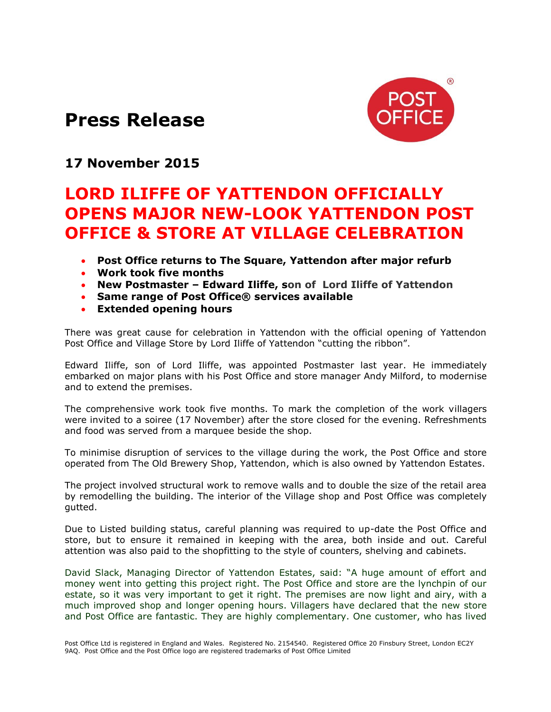## **Press Release**



## **17 November 2015**

## **LORD ILIFFE OF YATTENDON OFFICIALLY OPENS MAJOR NEW-LOOK YATTENDON POST OFFICE & STORE AT VILLAGE CELEBRATION**

- **Post Office returns to The Square, Yattendon after major refurb**
- **Work took five months**
- **New Postmaster – Edward Iliffe, son of Lord Iliffe of Yattendon**
- **Same range of Post Office® services available**
- **Extended opening hours**

There was great cause for celebration in Yattendon with the official opening of Yattendon Post Office and Village Store by Lord Iliffe of Yattendon "cutting the ribbon".

Edward Iliffe, son of Lord Iliffe, was appointed Postmaster last year. He immediately embarked on major plans with his Post Office and store manager Andy Milford, to modernise and to extend the premises.

The comprehensive work took five months. To mark the completion of the work villagers were invited to a soiree (17 November) after the store closed for the evening. Refreshments and food was served from a marquee beside the shop.

To minimise disruption of services to the village during the work, the Post Office and store operated from The Old Brewery Shop, Yattendon, which is also owned by Yattendon Estates.

The project involved structural work to remove walls and to double the size of the retail area by remodelling the building. The interior of the Village shop and Post Office was completely gutted.

Due to Listed building status, careful planning was required to up-date the Post Office and store, but to ensure it remained in keeping with the area, both inside and out. Careful attention was also paid to the shopfitting to the style of counters, shelving and cabinets.

David Slack, Managing Director of Yattendon Estates, said: "A huge amount of effort and money went into getting this project right. The Post Office and store are the lynchpin of our estate, so it was very important to get it right. The premises are now light and airy, with a much improved shop and longer opening hours. Villagers have declared that the new store and Post Office are fantastic. They are highly complementary. One customer, who has lived

Post Office Ltd is registered in England and Wales. Registered No. 2154540. Registered Office 20 Finsbury Street, London EC2Y 9AQ. Post Office and the Post Office logo are registered trademarks of Post Office Limited